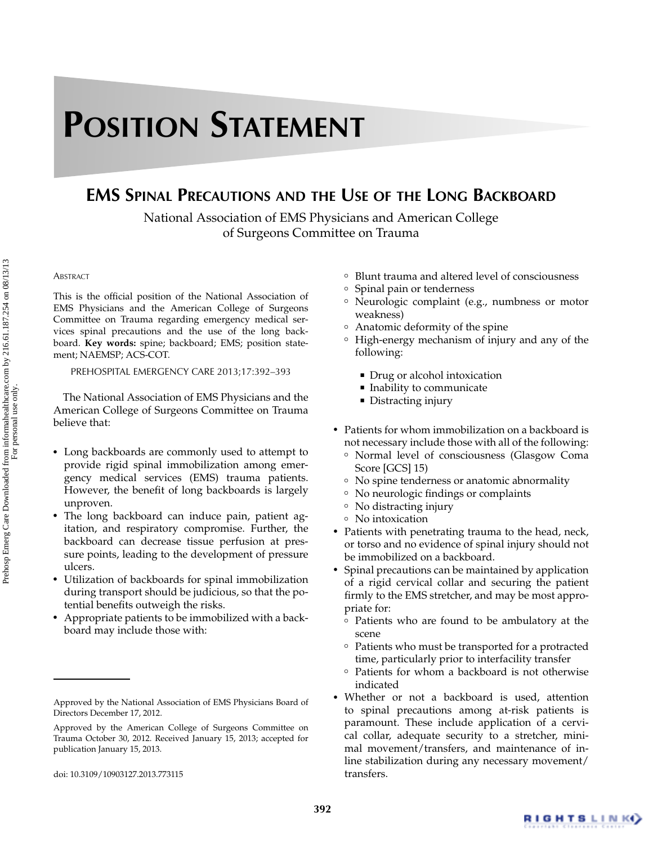## **POSITION STATEMENT**

## **EMS SPINAL PRECAUTIONS AND THE USE OF THE LONG BACKBOARD**

National Association of EMS Physicians and American College of Surgeons Committee on Trauma

## **ABSTRACT**

This is the official position of the National Association of EMS Physicians and the American College of Surgeons Committee on Trauma regarding emergency medical services spinal precautions and the use of the long backboard. **Key words:** spine; backboard; EMS; position statement; NAEMSP; ACS-COT.

PREHOSPITAL EMERGENCY CARE 2013;17:392–393

The National Association of EMS Physicians and the American College of Surgeons Committee on Trauma believe that:

- Long backboards are commonly used to attempt to provide rigid spinal immobilization among emergency medical services (EMS) trauma patients. However, the benefit of long backboards is largely unproven.
- The long backboard can induce pain, patient agitation, and respiratory compromise. Further, the backboard can decrease tissue perfusion at pressure points, leading to the development of pressure ulcers.
- Utilization of backboards for spinal immobilization during transport should be judicious, so that the potential benefits outweigh the risks.
- - Appropriate patients to be immobilized with a backboard may include those with:
- ❜ Blunt trauma and altered level of consciousness
- ❜ Spinal pain or tenderness
- ❜ Neurologic complaint (e.g., numbness or motor weakness)
- ❜ Anatomic deformity of the spine
- High-energy mechanism of injury and any of the following:
	- Drug or alcohol intoxication
	- $\hspace{0.1mm}$  Inability to communicate
	- Distracting injury
- Patients for whom immobilization on a backboard is not necessary include those with all of the following:
	- ❜ Normal level of consciousness (Glasgow Coma Score [GCS] 15)
	- ❜ No spine tenderness or anatomic abnormality
- ❜ No neurologic findings or complaints
- ❜ No distracting injury
- ❜ No intoxication
- Patients with penetrating trauma to the head, neck, or torso and no evidence of spinal injury should not be immobilized on a backboard.
- - Spinal precautions can be maintained by application of a rigid cervical collar and securing the patient firmly to the EMS stretcher, and may be most appropriate for:
	- ❜ Patients who are found to be ambulatory at the scene
	- ❜ Patients who must be transported for a protracted time, particularly prior to interfacility transfer
	- ❜ Patients for whom a backboard is not otherwise indicated
- Whether or not a backboard is used, attention to spinal precautions among at-risk patients is paramount. These include application of a cervical collar, adequate security to a stretcher, minimal movement/transfers, and maintenance of inline stabilization during any necessary movement/ transfers.

Approved by the National Association of EMS Physicians Board of Directors December 17, 2012.

Approved by the American College of Surgeons Committee on Trauma October 30, 2012. Received January 15, 2013; accepted for publication January 15, 2013.